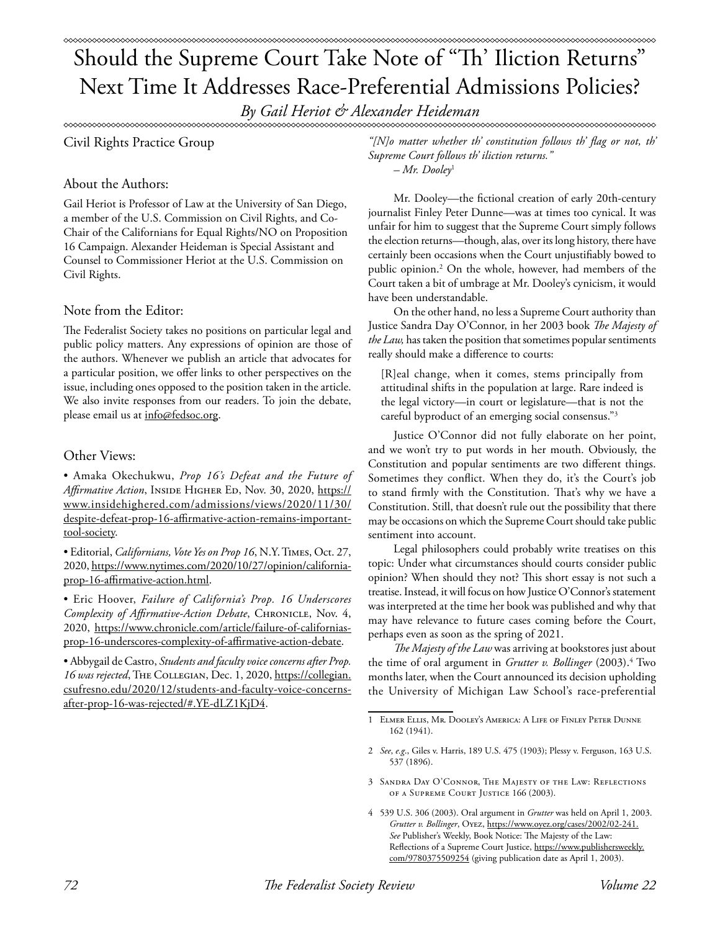*By Gail Heriot & Alexander Heideman*

Civil Rights Practice Group

## About the Authors:

Gail Heriot is Professor of Law at the University of San Diego, a member of the U.S. Commission on Civil Rights, and Co-Chair of the Californians for Equal Rights/NO on Proposition 16 Campaign. Alexander Heideman is Special Assistant and Counsel to Commissioner Heriot at the U.S. Commission on Civil Rights.

## Note from the Editor:

The Federalist Society takes no positions on particular legal and public policy matters. Any expressions of opinion are those of the authors. Whenever we publish an article that advocates for a particular position, we offer links to other perspectives on the issue, including ones opposed to the position taken in the article. We also invite responses from our readers. To join the debate, please email us at info@fedsoc.org.

# Other Views:

• Amaka Okechukwu, *Prop 16's Defeat and the Future of*  Affirmative Action, INSIDE HIGHER ED, Nov. 30, 2020, https:// www.insidehighered.com/admissions/views/2020/11/30/ despite-defeat-prop-16-affirmative-action-remains-importanttool-society.

• Editorial, *Californians, Vote Yes on Prop 16*, N.Y. Times, Oct. 27, 2020, https://www.nytimes.com/2020/10/27/opinion/californiaprop-16-affirmative-action.html.

• Eric Hoover, *Failure of California's Prop. 16 Underscores Complexity of Affirmative-Action Debate*, CHRONICLE, Nov. 4, 2020, https://www.chronicle.com/article/failure-of-californiasprop-16-underscores-complexity-of-affirmative-action-debate.

• Abbygail de Castro, *Students and faculty voice concerns after Prop. 16 was rejected*, The Collegian, Dec. 1, 2020, https://collegian. csufresno.edu/2020/12/students-and-faculty-voice-concernsafter-prop-16-was-rejected/#.YE-dLZ1KjD4.

*"[N]o matter whether th' constitution follows th' flag or not, th' Supreme Court follows th' iliction returns." – Mr. Dooley*<sup>1</sup>

Mr. Dooley—the fictional creation of early 20th-century journalist Finley Peter Dunne—was at times too cynical. It was unfair for him to suggest that the Supreme Court simply follows the election returns—though, alas, over its long history, there have certainly been occasions when the Court unjustifiably bowed to public opinion.2 On the whole, however, had members of the Court taken a bit of umbrage at Mr. Dooley's cynicism, it would have been understandable.

On the other hand, no less a Supreme Court authority than Justice Sandra Day O'Connor, in her 2003 book *The Majesty of the Law,* has taken the position that sometimes popular sentiments really should make a difference to courts:

[R]eal change, when it comes, stems principally from attitudinal shifts in the population at large. Rare indeed is the legal victory—in court or legislature—that is not the careful byproduct of an emerging social consensus."3

Justice O'Connor did not fully elaborate on her point, and we won't try to put words in her mouth. Obviously, the Constitution and popular sentiments are two different things. Sometimes they conflict. When they do, it's the Court's job to stand firmly with the Constitution. That's why we have a Constitution. Still, that doesn't rule out the possibility that there may be occasions on which the Supreme Court should take public sentiment into account.

Legal philosophers could probably write treatises on this topic: Under what circumstances should courts consider public opinion? When should they not? This short essay is not such a treatise. Instead, it will focus on how Justice O'Connor's statement was interpreted at the time her book was published and why that may have relevance to future cases coming before the Court, perhaps even as soon as the spring of 2021.

*The Majesty of the Law* was arriving at bookstores just about the time of oral argument in *Grutter v. Bollinger* (2003).<sup>4</sup> Two months later, when the Court announced its decision upholding the University of Michigan Law School's race-preferential

<sup>1</sup> Elmer Ellis, Mr. Dooley's America: A Life of Finley Peter Dunne 162 (1941).

<sup>2</sup> *See*, *e.g*., Giles v. Harris, 189 U.S. 475 (1903); Plessy v. Ferguson, 163 U.S. 537 (1896).

<sup>3</sup> Sandra Day O'Connor, The Majesty of the Law: Reflections of a Supreme Court Justice 166 (2003).

<sup>4 539</sup> U.S. 306 (2003). Oral argument in *Grutter* was held on April 1, 2003. *Grutter v. Bollinger*, Oyez, https://www.oyez.org/cases/2002/02-241. *See* Publisher's Weekly, Book Notice: The Majesty of the Law: Reflections of a Supreme Court Justice, https://www.publishersweekly. com/9780375509254 (giving publication date as April 1, 2003).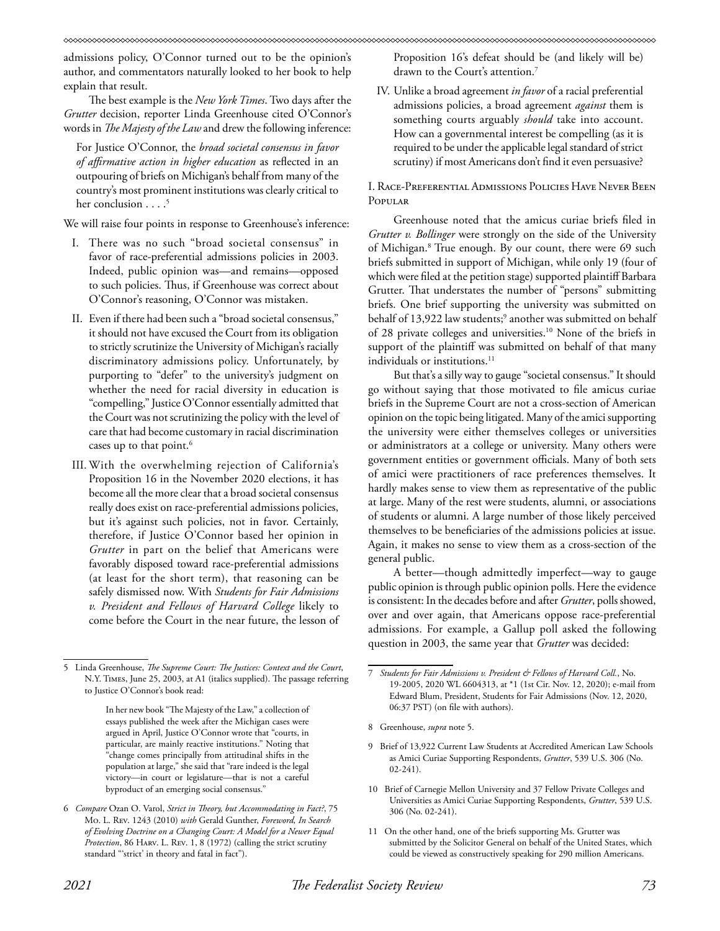admissions policy, O'Connor turned out to be the opinion's author, and commentators naturally looked to her book to help explain that result.

The best example is the *New York Times*. Two days after the *Grutter* decision, reporter Linda Greenhouse cited O'Connor's words in *The Majesty of the Law* and drew the following inference:

For Justice O'Connor, the *broad societal consensus in favor of affirmative action in higher education* as reflected in an outpouring of briefs on Michigan's behalf from many of the country's most prominent institutions was clearly critical to her conclusion  $\ldots$ <sup>5</sup>

We will raise four points in response to Greenhouse's inference:

- I. There was no such "broad societal consensus" in favor of race-preferential admissions policies in 2003. Indeed, public opinion was—and remains—opposed to such policies. Thus, if Greenhouse was correct about O'Connor's reasoning, O'Connor was mistaken.
- II. Even if there had been such a "broad societal consensus," it should not have excused the Court from its obligation to strictly scrutinize the University of Michigan's racially discriminatory admissions policy. Unfortunately, by purporting to "defer" to the university's judgment on whether the need for racial diversity in education is "compelling," Justice O'Connor essentially admitted that the Court was not scrutinizing the policy with the level of care that had become customary in racial discrimination cases up to that point.<sup>6</sup>
- III. With the overwhelming rejection of California's Proposition 16 in the November 2020 elections, it has become all the more clear that a broad societal consensus really does exist on race-preferential admissions policies, but it's against such policies, not in favor. Certainly, therefore, if Justice O'Connor based her opinion in *Grutter* in part on the belief that Americans were favorably disposed toward race-preferential admissions (at least for the short term), that reasoning can be safely dismissed now. With *Students for Fair Admissions v. President and Fellows of Harvard College* likely to come before the Court in the near future, the lesson of

Proposition 16's defeat should be (and likely will be) drawn to the Court's attention.<sup>7</sup>

IV. Unlike a broad agreement *in favor* of a racial preferential admissions policies, a broad agreement *against* them is something courts arguably *should* take into account. How can a governmental interest be compelling (as it is required to be under the applicable legal standard of strict scrutiny) if most Americans don't find it even persuasive?

I. Race-Preferential Admissions Policies Have Never Been Popular

Greenhouse noted that the amicus curiae briefs filed in *Grutter v. Bollinger* were strongly on the side of the University of Michigan.8 True enough. By our count, there were 69 such briefs submitted in support of Michigan, while only 19 (four of which were filed at the petition stage) supported plaintiff Barbara Grutter. That understates the number of "persons" submitting briefs. One brief supporting the university was submitted on behalf of 13,922 law students;<sup>9</sup> another was submitted on behalf of 28 private colleges and universities.<sup>10</sup> None of the briefs in support of the plaintiff was submitted on behalf of that many individuals or institutions.<sup>11</sup>

But that's a silly way to gauge "societal consensus." It should go without saying that those motivated to file amicus curiae briefs in the Supreme Court are not a cross-section of American opinion on the topic being litigated. Many of the amici supporting the university were either themselves colleges or universities or administrators at a college or university. Many others were government entities or government officials. Many of both sets of amici were practitioners of race preferences themselves. It hardly makes sense to view them as representative of the public at large. Many of the rest were students, alumni, or associations of students or alumni. A large number of those likely perceived themselves to be beneficiaries of the admissions policies at issue. Again, it makes no sense to view them as a cross-section of the general public.

A better—though admittedly imperfect—way to gauge public opinion is through public opinion polls. Here the evidence is consistent: In the decades before and after *Grutter*, polls showed, over and over again, that Americans oppose race-preferential admissions. For example, a Gallup poll asked the following question in 2003, the same year that *Grutter* was decided:

<sup>5</sup> Linda Greenhouse, *The Supreme Court: The Justices: Context and the Court*, N.Y. Times, June 25, 2003, at A1 (italics supplied). The passage referring to Justice O'Connor's book read:

In her new book "The Majesty of the Law," a collection of essays published the week after the Michigan cases were argued in April, Justice O'Connor wrote that "courts, in particular, are mainly reactive institutions." Noting that "change comes principally from attitudinal shifts in the population at large," she said that "rare indeed is the legal victory—in court or legislature—that is not a careful byproduct of an emerging social consensus."

<sup>6</sup> *Compare* Ozan O. Varol, *Strict in Theory, but Accommodating in Fact?*, 75 Mo. L. Rev. 1243 (2010) *with* Gerald Gunther, *Foreword, In Search of Evolving Doctrine on a Changing Court: A Model for a Newer Equal Protection*, 86 Harv. L. Rev. 1, 8 (1972) (calling the strict scrutiny standard "'strict' in theory and fatal in fact").

<sup>7</sup> *Students for Fair Admissions v. President & Fellows of Harvard Coll.*, No. 19-2005, 2020 WL 6604313, at \*1 (1st Cir. Nov. 12, 2020); e-mail from Edward Blum, President, Students for Fair Admissions (Nov. 12, 2020, 06:37 PST) (on file with authors).

<sup>8</sup> Greenhouse, *supra* note 5.

<sup>9</sup> Brief of 13,922 Current Law Students at Accredited American Law Schools as Amici Curiae Supporting Respondents, *Grutter*, 539 U.S. 306 (No. 02-241).

<sup>10</sup> Brief of Carnegie Mellon University and 37 Fellow Private Colleges and Universities as Amici Curiae Supporting Respondents, *Grutter*, 539 U.S. 306 (No. 02-241).

<sup>11</sup> On the other hand, one of the briefs supporting Ms. Grutter was submitted by the Solicitor General on behalf of the United States, which could be viewed as constructively speaking for 290 million Americans.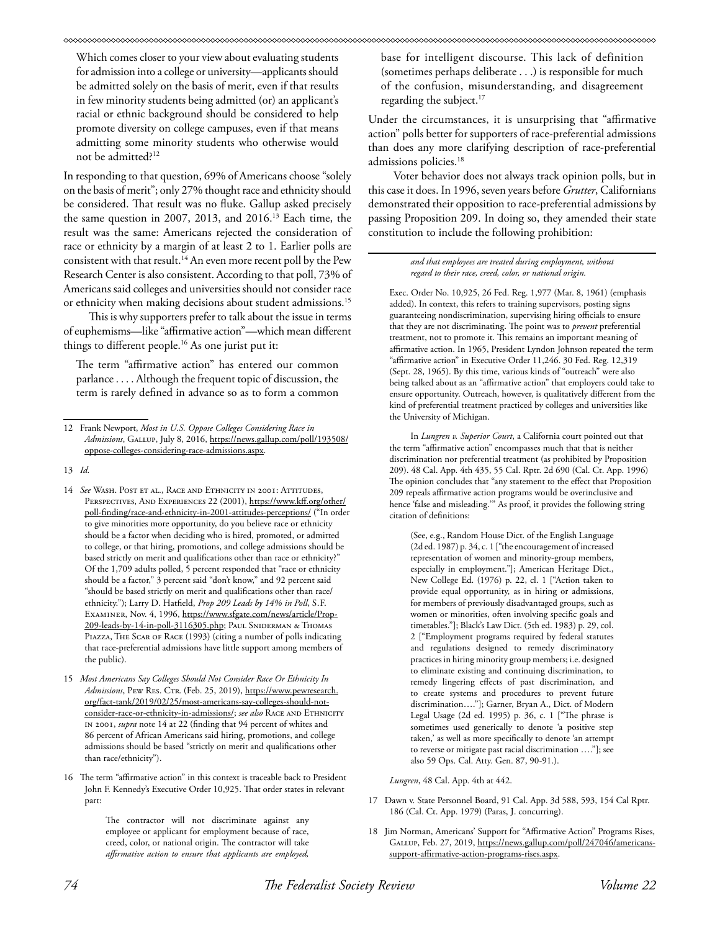Which comes closer to your view about evaluating students for admission into a college or university—applicants should be admitted solely on the basis of merit, even if that results in few minority students being admitted (or) an applicant's racial or ethnic background should be considered to help promote diversity on college campuses, even if that means admitting some minority students who otherwise would not be admitted?12

In responding to that question, 69% of Americans choose "solely on the basis of merit"; only 27% thought race and ethnicity should be considered. That result was no fluke. Gallup asked precisely the same question in 2007, 2013, and 2016.13 Each time, the result was the same: Americans rejected the consideration of race or ethnicity by a margin of at least 2 to 1. Earlier polls are consistent with that result.<sup>14</sup> An even more recent poll by the Pew Research Center is also consistent. According to that poll, 73% of Americans said colleges and universities should not consider race or ethnicity when making decisions about student admissions.<sup>15</sup>

This is why supporters prefer to talk about the issue in terms of euphemisms—like "affirmative action"—which mean different things to different people.<sup>16</sup> As one jurist put it:

The term "affirmative action" has entered our common parlance . . . . Although the frequent topic of discussion, the term is rarely defined in advance so as to form a common

The contractor will not discriminate against any employee or applicant for employment because of race, creed, color, or national origin. The contractor will take *affirmative action to ensure that applicants are employed,* 

base for intelligent discourse. This lack of definition (sometimes perhaps deliberate . . .) is responsible for much of the confusion, misunderstanding, and disagreement regarding the subject.<sup>17</sup>

Under the circumstances, it is unsurprising that "affirmative action" polls better for supporters of race-preferential admissions than does any more clarifying description of race-preferential admissions policies.<sup>18</sup>

Voter behavior does not always track opinion polls, but in this case it does. In 1996, seven years before *Grutter*, Californians demonstrated their opposition to race-preferential admissions by passing Proposition 209. In doing so, they amended their state constitution to include the following prohibition:

> *and that employees are treated during employment, without regard to their race, creed, color, or national origin.*

Exec. Order No. 10,925, 26 Fed. Reg. 1,977 (Mar. 8, 1961) (emphasis added). In context, this refers to training supervisors, posting signs guaranteeing nondiscrimination, supervising hiring officials to ensure that they are not discriminating. The point was to *prevent* preferential treatment, not to promote it. This remains an important meaning of affirmative action. In 1965, President Lyndon Johnson repeated the term "affirmative action" in Executive Order 11,246. 30 Fed. Reg. 12,319 (Sept. 28, 1965). By this time, various kinds of "outreach" were also being talked about as an "affirmative action" that employers could take to ensure opportunity. Outreach, however, is qualitatively different from the kind of preferential treatment practiced by colleges and universities like the University of Michigan.

In *Lungren v. Superior Court*, a California court pointed out that the term "affirmative action" encompasses much that that is neither discrimination nor preferential treatment (as prohibited by Proposition 209). 48 Cal. App. 4th 435, 55 Cal. Rptr. 2d 690 (Cal. Ct. App. 1996) The opinion concludes that "any statement to the effect that Proposition 209 repeals affirmative action programs would be overinclusive and hence 'false and misleading.'" As proof, it provides the following string citation of definitions:

(See, e.g., Random House Dict. of the English Language (2d ed. 1987) p. 34, c. 1 ["the encouragement of increased representation of women and minority-group members, especially in employment."]; American Heritage Dict., New College Ed. (1976) p. 22, cl. 1 ["Action taken to provide equal opportunity, as in hiring or admissions, for members of previously disadvantaged groups, such as women or minorities, often involving specific goals and timetables."]; Black's Law Dict. (5th ed. 1983) p. 29, col. 2 ["Employment programs required by federal statutes and regulations designed to remedy discriminatory practices in hiring minority group members; i.e. designed to eliminate existing and continuing discrimination, to remedy lingering effects of past discrimination, and to create systems and procedures to prevent future discrimination…."]; Garner, Bryan A., Dict. of Modern Legal Usage (2d ed. 1995) p. 36, c. 1 ["The phrase is sometimes used generically to denote 'a positive step taken,' as well as more specifically to denote 'an attempt to reverse or mitigate past racial discrimination …."]; see also 59 Ops. Cal. Atty. Gen. 87, 90-91.).

*Lungren*, 48 Cal. App. 4th at 442.

- 17 Dawn v. State Personnel Board, 91 Cal. App. 3d 588, 593, 154 Cal Rptr. 186 (Cal. Ct. App. 1979) (Paras, J. concurring).
- 18 Jim Norman, Americans' Support for "Affirmative Action" Programs Rises, Gallup, Feb. 27, 2019, https://news.gallup.com/poll/247046/americanssupport-affirmative-action-programs-rises.aspx.

<sup>12</sup> Frank Newport, *Most in U.S. Oppose Colleges Considering Race in*  Admissions, GALLUP, July 8, 2016, https://news.gallup.com/poll/193508/ oppose-colleges-considering-race-admissions.aspx.

<sup>13</sup> *Id.* 

<sup>14</sup> *See* Wash. Post et al., Race and Ethnicity in 2001: Attitudes, Perspectives, And Experiences 22 (2001), https://www.kff.org/other/ poll-finding/race-and-ethnicity-in-2001-attitudes-perceptions/ ("In order to give minorities more opportunity, do you believe race or ethnicity should be a factor when deciding who is hired, promoted, or admitted to college, or that hiring, promotions, and college admissions should be based strictly on merit and qualifications other than race or ethnicity?" Of the 1,709 adults polled, 5 percent responded that "race or ethnicity should be a factor," 3 percent said "don't know," and 92 percent said "should be based strictly on merit and qualifications other than race/ ethnicity."); Larry D. Hatfield, *Prop 209 Leads by 14% in Poll*, S.F. Examiner, Nov. 4, 1996, https://www.sfgate.com/news/article/Prop-209-leads-by-14-in-poll-3116305.php; Paul Sniderman & Thomas PIAZZA, THE SCAR OF RACE (1993) (citing a number of polls indicating that race-preferential admissions have little support among members of the public).

<sup>15</sup> *Most Americans Say Colleges Should Not Consider Race Or Ethnicity In*  Admissions, Pew Res. CTR. (Feb. 25, 2019), https://www.pewresearch. org/fact-tank/2019/02/25/most-americans-say-colleges-should-notconsider-race-or-ethnicity-in-admissions/; see also RACE AND ETHNICITY in 2001, *supra* note 14 at 22 (finding that 94 percent of whites and 86 percent of African Americans said hiring, promotions, and college admissions should be based "strictly on merit and qualifications other than race/ethnicity").

<sup>16</sup> The term "affirmative action" in this context is traceable back to President John F. Kennedy's Executive Order 10,925. That order states in relevant part: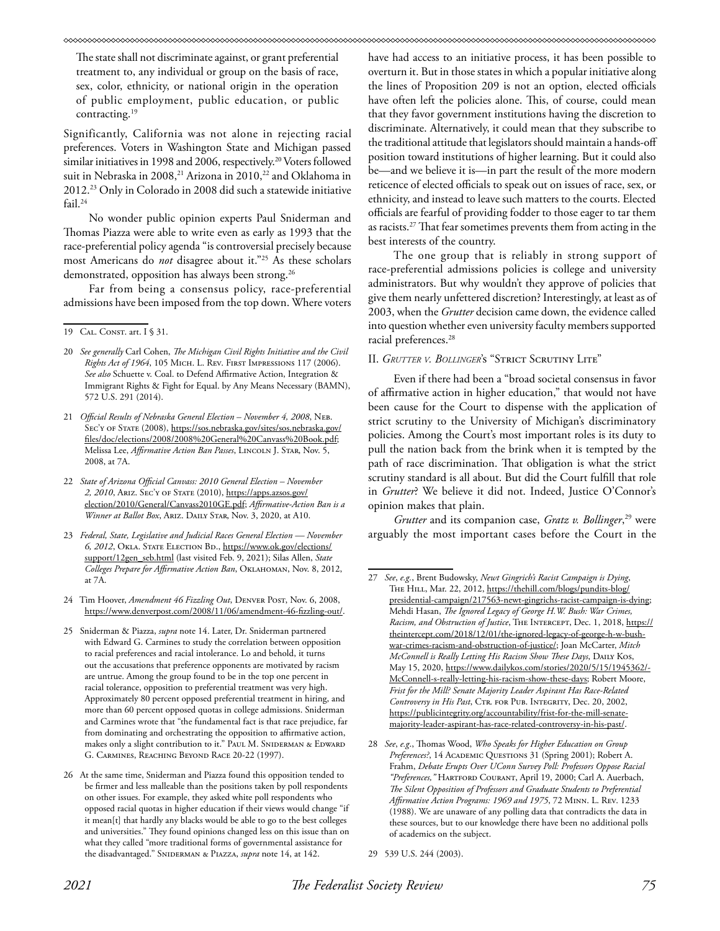#### 

The state shall not discriminate against, or grant preferential treatment to, any individual or group on the basis of race, sex, color, ethnicity, or national origin in the operation of public employment, public education, or public contracting.19

Significantly, California was not alone in rejecting racial preferences. Voters in Washington State and Michigan passed similar initiatives in 1998 and 2006, respectively.<sup>20</sup> Voters followed suit in Nebraska in 2008,<sup>21</sup> Arizona in 2010,<sup>22</sup> and Oklahoma in 2012.23 Only in Colorado in 2008 did such a statewide initiative fail.<sup>24</sup>

No wonder public opinion experts Paul Sniderman and Thomas Piazza were able to write even as early as 1993 that the race-preferential policy agenda "is controversial precisely because most Americans do *not* disagree about it."25 As these scholars demonstrated, opposition has always been strong.<sup>26</sup>

Far from being a consensus policy, race-preferential admissions have been imposed from the top down. Where voters

- 20 *See generally* Carl Cohen, *The Michigan Civil Rights Initiative and the Civil Rights Act of 1964*, 105 Mich. L. Rev. First Impressions 117 (2006). *See also* Schuette v. Coal. to Defend Affirmative Action, Integration & Immigrant Rights & Fight for Equal. by Any Means Necessary (BAMN), 572 U.S. 291 (2014).
- 21 *Official Results of Nebraska General Election November 4, 2008*, Neb. SEC'Y OF STATE (2008), https://sos.nebraska.gov/sites/sos.nebraska.gov/ files/doc/elections/2008/2008%20General%20Canvass%20Book.pdf; Melissa Lee, *Affirmative Action Ban Passes*, LINCOLN J. STAR, Nov. 5, 2008, at 7A.
- 22 *State of Arizona Official Canvass: 2010 General Election November 2, 2010*, Ariz. Sec'y of State (2010), https://apps.azsos.gov/ election/2010/General/Canvass2010GE.pdf; *Affirmative-Action Ban is a Winner at Ballot Box*, Ariz. Daily Star, Nov. 3, 2020, at A10.
- 23 *Federal, State, Legislative and Judicial Races General Election November 6, 2012*, Okla. State Election Bd., https://www.ok.gov/elections/ support/12gen\_seb.html (last visited Feb. 9, 2021); Silas Allen, *State Colleges Prepare for Affirmative Action Ban*, Oklahoman, Nov. 8, 2012, at 7A.
- 24 Tim Hoover, *Amendment 46 Fizzling Out*, Denver Post, Nov. 6, 2008, https://www.denverpost.com/2008/11/06/amendment-46-fizzling-out/.
- 25 Sniderman & Piazza, *supra* note 14. Later, Dr. Sniderman partnered with Edward G. Carmines to study the correlation between opposition to racial preferences and racial intolerance. Lo and behold, it turns out the accusations that preference opponents are motivated by racism are untrue. Among the group found to be in the top one percent in racial tolerance, opposition to preferential treatment was very high. Approximately 80 percent opposed preferential treatment in hiring, and more than 60 percent opposed quotas in college admissions. Sniderman and Carmines wrote that "the fundamental fact is that race prejudice, far from dominating and orchestrating the opposition to affirmative action, makes only a slight contribution to it." PAUL M. SNIDERMAN & EDWARD G. Carmines, Reaching Beyond Race 20-22 (1997).
- 26 At the same time, Sniderman and Piazza found this opposition tended to be firmer and less malleable than the positions taken by poll respondents on other issues. For example, they asked white poll respondents who opposed racial quotas in higher education if their views would change "if it mean[t] that hardly any blacks would be able to go to the best colleges and universities." They found opinions changed less on this issue than on what they called "more traditional forms of governmental assistance for the disadvantaged." SNIDERMAN & PIAZZA, *supra* note 14, at 142.

have had access to an initiative process, it has been possible to overturn it. But in those states in which a popular initiative along the lines of Proposition 209 is not an option, elected officials have often left the policies alone. This, of course, could mean that they favor government institutions having the discretion to discriminate. Alternatively, it could mean that they subscribe to the traditional attitude that legislators should maintain a hands-off position toward institutions of higher learning. But it could also be—and we believe it is—in part the result of the more modern reticence of elected officials to speak out on issues of race, sex, or ethnicity, and instead to leave such matters to the courts. Elected officials are fearful of providing fodder to those eager to tar them as racists.27 That fear sometimes prevents them from acting in the best interests of the country.

The one group that is reliably in strong support of race-preferential admissions policies is college and university administrators. But why wouldn't they approve of policies that give them nearly unfettered discretion? Interestingly, at least as of 2003, when the *Grutter* decision came down, the evidence called into question whether even university faculty members supported racial preferences.<sup>28</sup>

### II. *Grutter v. Bollinger*'s "Strict Scrutiny Lite"

Even if there had been a "broad societal consensus in favor of affirmative action in higher education," that would not have been cause for the Court to dispense with the application of strict scrutiny to the University of Michigan's discriminatory policies. Among the Court's most important roles is its duty to pull the nation back from the brink when it is tempted by the path of race discrimination. That obligation is what the strict scrutiny standard is all about. But did the Court fulfill that role in *Grutter*? We believe it did not. Indeed, Justice O'Connor's opinion makes that plain.

*Grutter* and its companion case, *Gratz v. Bollinger*, 29 were arguably the most important cases before the Court in the

<sup>19</sup> CAL. CONST. art. I § 31.

<sup>27</sup> *See*, *e.g.*, Brent Budowsky, *Newt Gingrich's Racist Campaign is Dying*, THE HILL, Mar. 22, 2012, https://thehill.com/blogs/pundits-blog/ presidential-campaign/217563-newt-gingrichs-racist-campaign-is-dying; Mehdi Hasan, *The Ignored Legacy of George H.W. Bush: War Crimes, Racism, and Obstruction of Justice*, THE INTERCEPT, Dec. 1, 2018, https:// theintercept.com/2018/12/01/the-ignored-legacy-of-george-h-w-bushwar-crimes-racism-and-obstruction-of-justice/; Joan McCarter, *Mitch McConnell is Really Letting His Racism Show These Days*, DAILY KOS, May 15, 2020, https://www.dailykos.com/stories/2020/5/15/1945362/- McConnell-s-really-letting-his-racism-show-these-days; Robert Moore, *Frist for the Mill? Senate Majority Leader Aspirant Has Race-Related*  Controversy in His Past, CTR. FOR PUB. INTEGRITY, Dec. 20, 2002, https://publicintegrity.org/accountability/frist-for-the-mill-senatemajority-leader-aspirant-has-race-related-controversy-in-his-past/.

<sup>28</sup> *See*, *e.g*., Thomas Wood, *Who Speaks for Higher Education on Group Preferences?*, 14 Academic Questions 31 (Spring 2001); Robert A. Frahm, *Debate Erupts Over UConn Survey Poll: Professors Oppose Racial "Preferences,"* Hartford Courant, April 19, 2000; Carl A. Auerbach, *The Silent Opposition of Professors and Graduate Students to Preferential Affirmative Action Programs: 1969 and 1975*, 72 Minn. L. Rev. 1233 (1988). We are unaware of any polling data that contradicts the data in these sources, but to our knowledge there have been no additional polls of academics on the subject.

<sup>29 539</sup> U.S. 244 (2003).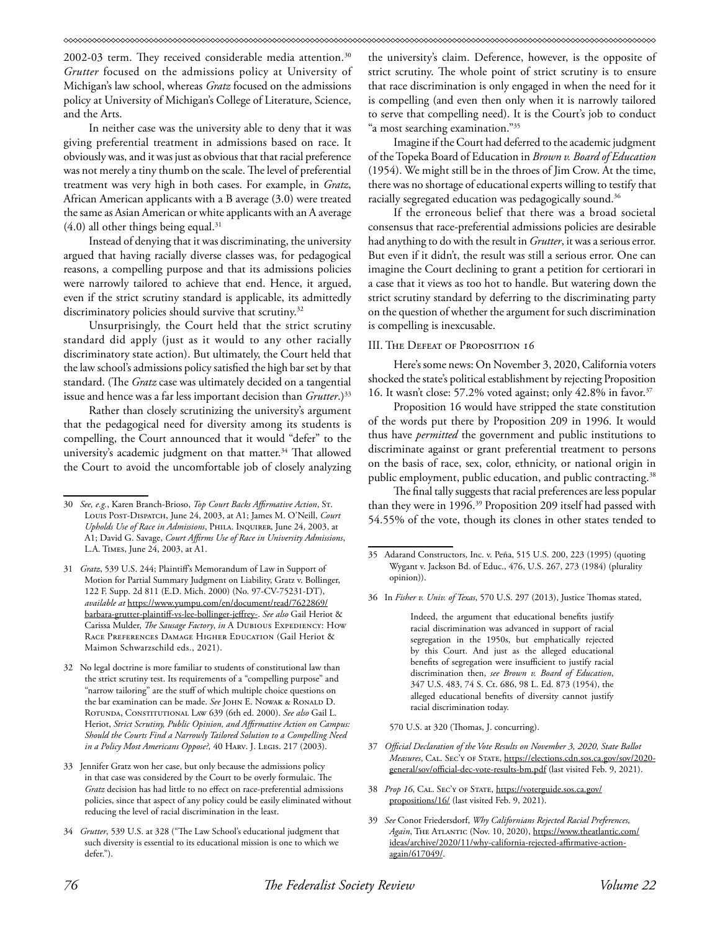2002-03 term. They received considerable media attention.<sup>30</sup> *Grutter* focused on the admissions policy at University of Michigan's law school, whereas *Gratz* focused on the admissions policy at University of Michigan's College of Literature, Science, and the Arts.

In neither case was the university able to deny that it was giving preferential treatment in admissions based on race. It obviously was, and it was just as obvious that that racial preference was not merely a tiny thumb on the scale. The level of preferential treatment was very high in both cases. For example, in *Gratz*, African American applicants with a B average (3.0) were treated the same as Asian American or white applicants with an A average  $(4.0)$  all other things being equal.<sup>31</sup>

Instead of denying that it was discriminating, the university argued that having racially diverse classes was, for pedagogical reasons, a compelling purpose and that its admissions policies were narrowly tailored to achieve that end. Hence, it argued, even if the strict scrutiny standard is applicable, its admittedly discriminatory policies should survive that scrutiny.<sup>32</sup>

Unsurprisingly, the Court held that the strict scrutiny standard did apply (just as it would to any other racially discriminatory state action). But ultimately, the Court held that the law school's admissions policy satisfied the high bar set by that standard. (The *Gratz* case was ultimately decided on a tangential issue and hence was a far less important decision than *Grutter*.)33

Rather than closely scrutinizing the university's argument that the pedagogical need for diversity among its students is compelling, the Court announced that it would "defer" to the university's academic judgment on that matter.<sup>34</sup> That allowed the Court to avoid the uncomfortable job of closely analyzing the university's claim. Deference, however, is the opposite of strict scrutiny. The whole point of strict scrutiny is to ensure that race discrimination is only engaged in when the need for it is compelling (and even then only when it is narrowly tailored to serve that compelling need). It is the Court's job to conduct "a most searching examination."<sup>35</sup>

Imagine if the Court had deferred to the academic judgment of the Topeka Board of Education in *Brown v. Board of Education*  (1954). We might still be in the throes of Jim Crow. At the time, there was no shortage of educational experts willing to testify that racially segregated education was pedagogically sound.<sup>36</sup>

If the erroneous belief that there was a broad societal consensus that race-preferential admissions policies are desirable had anything to do with the result in *Grutter*, it was a serious error. But even if it didn't, the result was still a serious error. One can imagine the Court declining to grant a petition for certiorari in a case that it views as too hot to handle. But watering down the strict scrutiny standard by deferring to the discriminating party on the question of whether the argument for such discrimination is compelling is inexcusable.

### III. The Defeat of Proposition 16

Here's some news: On November 3, 2020, California voters shocked the state's political establishment by rejecting Proposition 16. It wasn't close: 57.2% voted against; only 42.8% in favor.37

Proposition 16 would have stripped the state constitution of the words put there by Proposition 209 in 1996. It would thus have *permitted* the government and public institutions to discriminate against or grant preferential treatment to persons on the basis of race, sex, color, ethnicity, or national origin in public employment, public education, and public contracting.<sup>38</sup>

The final tally suggests that racial preferences are less popular than they were in 1996.<sup>39</sup> Proposition 209 itself had passed with 54.55% of the vote, though its clones in other states tended to

36 In *Fisher v. Univ. of Texas*, 570 U.S. 297 (2013), Justice Thomas stated,

Indeed, the argument that educational benefits justify racial discrimination was advanced in support of racial segregation in the 1950s, but emphatically rejected by this Court. And just as the alleged educational benefits of segregation were insufficient to justify racial discrimination then, *see Brown v. Board of Education*, 347 U.S. 483, 74 S. Ct. 686, 98 L. Ed. 873 (1954), the alleged educational benefits of diversity cannot justify racial discrimination today.

570 U.S. at 320 (Thomas, J. concurring).

- 37 *Official Declaration of the Vote Results on November 3, 2020, State Ballot Measures*, Cal. Sec'y of State, https://elections.cdn.sos.ca.gov/sov/2020 general/sov/official-dec-vote-results-bm.pdf (last visited Feb. 9, 2021).
- 38 *Prop 16*, CAL. SEC'Y OF STATE, https://voterguide.sos.ca.gov/ propositions/16/ (last visited Feb. 9, 2021).
- 39 *See* Conor Friedersdorf, *Why Californians Rejected Racial Preferences,*  Again, THE ATLANTIC (Nov. 10, 2020), https://www.theatlantic.com/ ideas/archive/2020/11/why-california-rejected-affirmative-actionagain/617049/.

<sup>30</sup> *See, e.g.*, Karen Branch-Brioso, *Top Court Backs Affirmative Action*, St. Louis Post-Dispatch, June 24, 2003, at A1; James M. O'Neill, *Court Upholds Use of Race in Admissions*, Phila. Inquirer, June 24, 2003, at A1; David G. Savage, *Court Affirms Use of Race in University Admissions*, L.A. Times, June 24, 2003, at A1.

<sup>31</sup> *Gratz*, 539 U.S. 244; Plaintiff's Memorandum of Law in Support of Motion for Partial Summary Judgment on Liability, Gratz v. Bollinger, 122 F. Supp. 2d 811 (E.D. Mich. 2000) (No. 97-CV-75231-DT), *available at* https://www.yumpu.com/en/document/read/7622869/ barbara-grutter-plaintiff-vs-lee-bollinger-jeffrey-. *See also* Gail Heriot & Carissa Mulder, *The Sausage Factory*, *in* A DUBIOUS EXPEDIENCY: HOW RACE PREFERENCES DAMAGE HIGHER EDUCATION (Gail Heriot & Maimon Schwarzschild eds., 2021).

<sup>32</sup> No legal doctrine is more familiar to students of constitutional law than the strict scrutiny test. Its requirements of a "compelling purpose" and "narrow tailoring" are the stuff of which multiple choice questions on the bar examination can be made. *See* JOHN E. NOWAK & RONALD D. Rotunda, Constitutional Law 639 (6th ed. 2000). *See also* Gail L. Heriot, *Strict Scrutiny, Public Opinion, and Affirmative Action on Campus: Should the Courts Find a Narrowly Tailored Solution to a Compelling Need in a Policy Most Americans Oppose?*, 40 HARV. J. LEGIS. 217 (2003).

<sup>33</sup> Jennifer Gratz won her case, but only because the admissions policy in that case was considered by the Court to be overly formulaic. The *Gratz* decision has had little to no effect on race-preferential admissions policies, since that aspect of any policy could be easily eliminated without reducing the level of racial discrimination in the least.

<sup>34</sup> *Grutter*, 539 U.S. at 328 ("The Law School's educational judgment that such diversity is essential to its educational mission is one to which we defer.").

<sup>35</sup> Adarand Constructors, Inc. v. Peña, 515 U.S. 200, 223 (1995) (quoting Wygant v. Jackson Bd. of Educ., 476, U.S. 267, 273 (1984) (plurality opinion)).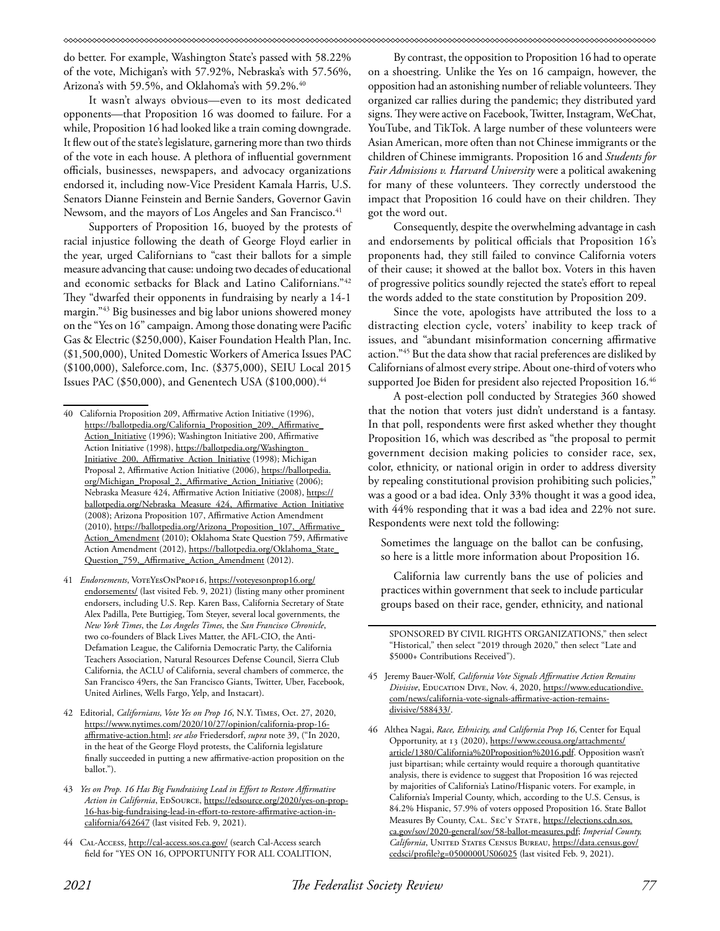do better. For example, Washington State's passed with 58.22% of the vote, Michigan's with 57.92%, Nebraska's with 57.56%, Arizona's with 59.5%, and Oklahoma's with 59.2%.<sup>40</sup>

It wasn't always obvious—even to its most dedicated opponents—that Proposition 16 was doomed to failure. For a while, Proposition 16 had looked like a train coming downgrade. It flew out of the state's legislature, garnering more than two thirds of the vote in each house. A plethora of influential government officials, businesses, newspapers, and advocacy organizations endorsed it, including now-Vice President Kamala Harris, U.S. Senators Dianne Feinstein and Bernie Sanders, Governor Gavin Newsom, and the mayors of Los Angeles and San Francisco.<sup>41</sup>

Supporters of Proposition 16, buoyed by the protests of racial injustice following the death of George Floyd earlier in the year, urged Californians to "cast their ballots for a simple measure advancing that cause: undoing two decades of educational and economic setbacks for Black and Latino Californians."42 They "dwarfed their opponents in fundraising by nearly a 14-1 margin."43 Big businesses and big labor unions showered money on the "Yes on 16" campaign. Among those donating were Pacific Gas & Electric (\$250,000), Kaiser Foundation Health Plan, Inc. (\$1,500,000), United Domestic Workers of America Issues PAC (\$100,000), Saleforce.com, Inc. (\$375,000), SEIU Local 2015 Issues PAC (\$50,000), and Genentech USA (\$100,000).<sup>44</sup>

By contrast, the opposition to Proposition 16 had to operate on a shoestring. Unlike the Yes on 16 campaign, however, the opposition had an astonishing number of reliable volunteers. They organized car rallies during the pandemic; they distributed yard signs. They were active on Facebook, Twitter, Instagram, WeChat, YouTube, and TikTok. A large number of these volunteers were Asian American, more often than not Chinese immigrants or the children of Chinese immigrants. Proposition 16 and *Students for Fair Admissions v. Harvard University* were a political awakening for many of these volunteers. They correctly understood the impact that Proposition 16 could have on their children. They got the word out.

Consequently, despite the overwhelming advantage in cash and endorsements by political officials that Proposition 16's proponents had, they still failed to convince California voters of their cause; it showed at the ballot box. Voters in this haven of progressive politics soundly rejected the state's effort to repeal the words added to the state constitution by Proposition 209.

Since the vote, apologists have attributed the loss to a distracting election cycle, voters' inability to keep track of issues, and "abundant misinformation concerning affirmative action."45 But the data show that racial preferences are disliked by Californians of almost every stripe. About one-third of voters who supported Joe Biden for president also rejected Proposition 16.46

A post-election poll conducted by Strategies 360 showed that the notion that voters just didn't understand is a fantasy. In that poll, respondents were first asked whether they thought Proposition 16, which was described as "the proposal to permit government decision making policies to consider race, sex, color, ethnicity, or national origin in order to address diversity by repealing constitutional provision prohibiting such policies," was a good or a bad idea. Only 33% thought it was a good idea, with 44% responding that it was a bad idea and 22% not sure. Respondents were next told the following:

Sometimes the language on the ballot can be confusing, so here is a little more information about Proposition 16.

California law currently bans the use of policies and practices within government that seek to include particular groups based on their race, gender, ethnicity, and national

- 45 Jeremy Bauer-Wolf, *California Vote Signals Affirmative Action Remains Divisive*, EDUCATION DIVE, Nov. 4, 2020, https://www.educationdive. com/news/california-vote-signals-affirmative-action-remainsdivisive/588433/.
- 46 Althea Nagai, *Race, Ethnicity, and California Prop 16*, Center for Equal Opportunity, at 13 (2020), https://www.ceousa.org/attachments/ article/1380/California%20Proposition%2016.pdf. Opposition wasn't just bipartisan; while certainty would require a thorough quantitative analysis, there is evidence to suggest that Proposition 16 was rejected by majorities of California's Latino/Hispanic voters. For example, in California's Imperial County, which, according to the U.S. Census, is 84.2% Hispanic, 57.9% of voters opposed Proposition 16. State Ballot Measures By County, CAL. SEC'Y STATE, https://elections.cdn.sos. ca.gov/sov/2020-general/sov/58-ballot-measures.pdf; *Imperial County, California*, UNITED STATES CENSUS BUREAU, https://data.census.gov/ cedsci/profile?g=0500000US06025 (last visited Feb. 9, 2021).

<sup>40</sup> California Proposition 209, Affirmative Action Initiative (1996), https://ballotpedia.org/California\_Proposition\_209,\_Affirmative\_ Action\_Initiative (1996); Washington Initiative 200, Affirmative Action Initiative (1998), https://ballotpedia.org/Washington\_ Initiative\_200,\_Affirmative\_Action\_Initiative (1998); Michigan Proposal 2, Affirmative Action Initiative (2006), https://ballotpedia. org/Michigan\_Proposal\_2,\_Affirmative\_Action\_Initiative (2006); Nebraska Measure 424, Affirmative Action Initiative (2008), https:// ballotpedia.org/Nebraska\_Measure\_424,\_Affirmative\_Action\_Initiative (2008); Arizona Proposition 107, Affirmative Action Amendment (2010), https://ballotpedia.org/Arizona\_Proposition\_107,\_Affirmative\_ Action\_Amendment (2010); Oklahoma State Question 759, Affirmative Action Amendment (2012), https://ballotpedia.org/Oklahoma\_State\_ Question\_759,\_Affirmative\_Action\_Amendment (2012).

<sup>41</sup> *Endorsements*, VoteYesOnProp16, https://voteyesonprop16.org/ endorsements/ (last visited Feb. 9, 2021) (listing many other prominent endorsers, including U.S. Rep. Karen Bass, California Secretary of State Alex Padilla, Pete Buttigieg, Tom Steyer, several local governments, the *New York Times*, the *Los Angeles Times*, the *San Francisco Chronicle*, two co-founders of Black Lives Matter, the AFL-CIO, the Anti-Defamation League, the California Democratic Party, the California Teachers Association, Natural Resources Defense Council, Sierra Club California, the ACLU of California, several chambers of commerce, the San Francisco 49ers, the San Francisco Giants, Twitter, Uber, Facebook, United Airlines, Wells Fargo, Yelp, and Instacart).

<sup>42</sup> Editorial, *Californians, Vote Yes on Prop 16*, N.Y. Times, Oct. 27, 2020, https://www.nytimes.com/2020/10/27/opinion/california-prop-16 affirmative-action.html; *see also* Friedersdorf, *supra* note 39, ("In 2020, in the heat of the George Floyd protests, the California legislature finally succeeded in putting a new affirmative-action proposition on the ballot.").

<sup>43</sup> *Yes on Prop. 16 Has Big Fundraising Lead in Effort to Restore Affirmative*  Action in California, EDSOURCE, https://edsource.org/2020/yes-on-prop-16-has-big-fundraising-lead-in-effort-to-restore-affirmative-action-incalifornia/642647 (last visited Feb. 9, 2021).

<sup>44</sup> CAL-Access, http://cal-access.sos.ca.gov/ (search Cal-Access search field for "YES ON 16, OPPORTUNITY FOR ALL COALITION,

SPONSORED BY CIVIL RIGHTS ORGANIZATIONS," then select "Historical," then select "2019 through 2020," then select "Late and \$5000+ Contributions Received").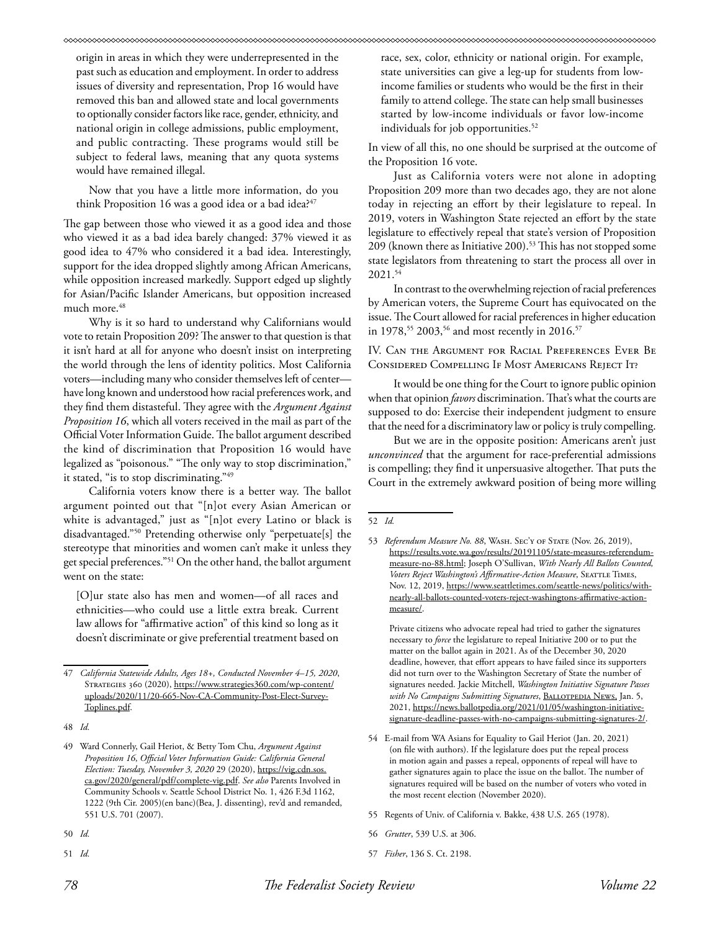origin in areas in which they were underrepresented in the past such as education and employment. In order to address issues of diversity and representation, Prop 16 would have removed this ban and allowed state and local governments to optionally consider factors like race, gender, ethnicity, and national origin in college admissions, public employment, and public contracting. These programs would still be subject to federal laws, meaning that any quota systems would have remained illegal.

Now that you have a little more information, do you think Proposition 16 was a good idea or a bad idea? $47$ 

The gap between those who viewed it as a good idea and those who viewed it as a bad idea barely changed: 37% viewed it as good idea to 47% who considered it a bad idea. Interestingly, support for the idea dropped slightly among African Americans, while opposition increased markedly. Support edged up slightly for Asian/Pacific Islander Americans, but opposition increased much more.48

Why is it so hard to understand why Californians would vote to retain Proposition 209? The answer to that question is that it isn't hard at all for anyone who doesn't insist on interpreting the world through the lens of identity politics. Most California voters—including many who consider themselves left of center have long known and understood how racial preferences work, and they find them distasteful. They agree with the *Argument Against Proposition 16*, which all voters received in the mail as part of the Official Voter Information Guide. The ballot argument described the kind of discrimination that Proposition 16 would have legalized as "poisonous." "The only way to stop discrimination," it stated, "is to stop discriminating."<sup>49</sup>

California voters know there is a better way. The ballot argument pointed out that "[n]ot every Asian American or white is advantaged," just as "[n]ot every Latino or black is disadvantaged."50 Pretending otherwise only "perpetuate[s] the stereotype that minorities and women can't make it unless they get special preferences."51 On the other hand, the ballot argument went on the state:

[O]ur state also has men and women—of all races and ethnicities—who could use a little extra break. Current law allows for "affirmative action" of this kind so long as it doesn't discriminate or give preferential treatment based on

51 *Id.*

race, sex, color, ethnicity or national origin. For example, state universities can give a leg-up for students from lowincome families or students who would be the first in their family to attend college. The state can help small businesses started by low-income individuals or favor low-income individuals for job opportunities.<sup>52</sup>

In view of all this, no one should be surprised at the outcome of the Proposition 16 vote.

Just as California voters were not alone in adopting Proposition 209 more than two decades ago, they are not alone today in rejecting an effort by their legislature to repeal. In 2019, voters in Washington State rejected an effort by the state legislature to effectively repeal that state's version of Proposition 209 (known there as Initiative 200).<sup>53</sup> This has not stopped some state legislators from threatening to start the process all over in 2021.54

In contrast to the overwhelming rejection of racial preferences by American voters, the Supreme Court has equivocated on the issue. The Court allowed for racial preferences in higher education in 1978,<sup>55</sup> 2003,<sup>56</sup> and most recently in 2016.<sup>57</sup>

IV. Can the Argument for Racial Preferences Ever Be Considered Compelling If Most Americans Reject It?

It would be one thing for the Court to ignore public opinion when that opinion *favors* discrimination. That's what the courts are supposed to do: Exercise their independent judgment to ensure that the need for a discriminatory law or policy is truly compelling.

But we are in the opposite position: Americans aren't just *unconvinced* that the argument for race-preferential admissions is compelling; they find it unpersuasive altogether. That puts the Court in the extremely awkward position of being more willing

Private citizens who advocate repeal had tried to gather the signatures necessary to *force* the legislature to repeal Initiative 200 or to put the matter on the ballot again in 2021. As of the December 30, 2020 deadline, however, that effort appears to have failed since its supporters did not turn over to the Washington Secretary of State the number of signatures needed. Jackie Mitchell, *Washington Initiative Signature Passes with No Campaigns Submitting Signatures*, Ballotpedia News, Jan. 5, 2021, https://news.ballotpedia.org/2021/01/05/washington-initiativesignature-deadline-passes-with-no-campaigns-submitting-signatures-2/.

- 54 E-mail from WA Asians for Equality to Gail Heriot (Jan. 20, 2021) (on file with authors). If the legislature does put the repeal process in motion again and passes a repeal, opponents of repeal will have to gather signatures again to place the issue on the ballot. The number of signatures required will be based on the number of voters who voted in the most recent election (November 2020).
- 55 Regents of Univ. of California v. Bakke, 438 U.S. 265 (1978).
- 56 *Grutter*, 539 U.S. at 306.
- 57 *Fisher*, 136 S. Ct. 2198.

<sup>47</sup> *California Statewide Adults, Ages 18+, Conducted November 4–15, 2020*, Strategies 360 (2020), https://www.strategies360.com/wp-content/ uploads/2020/11/20-665-Nov-CA-Community-Post-Elect-Survey-Toplines.pdf.

<sup>48</sup> *Id.*

<sup>49</sup> Ward Connerly, Gail Heriot, & Betty Tom Chu, *Argument Against Proposition 16*, *Official Voter Information Guide: California General Election: Tuesday, November 3, 2020* 29 (2020), https://vig.cdn.sos. ca.gov/2020/general/pdf/complete-vig.pdf. *See also* Parents Involved in Community Schools v. Seattle School District No. 1, 426 F.3d 1162, 1222 (9th Cir. 2005)(en banc)(Bea, J. dissenting), rev'd and remanded, 551 U.S. 701 (2007).

<sup>50</sup> *Id.*

<sup>52</sup> *Id.*

<sup>53</sup> Referendum Measure No. 88, WASH. SEC'Y OF STATE (Nov. 26, 2019), https://results.vote.wa.gov/results/20191105/state-measures-referendummeasure-no-88.html; Joseph O'Sullivan, *With Nearly All Ballots Counted,*  Voters Reject Washington's Affirmative-Action Measure, SEATTLE TIMES, Nov. 12, 2019, https://www.seattletimes.com/seattle-news/politics/withnearly-all-ballots-counted-voters-reject-washingtons-affirmative-actionmeasure/.